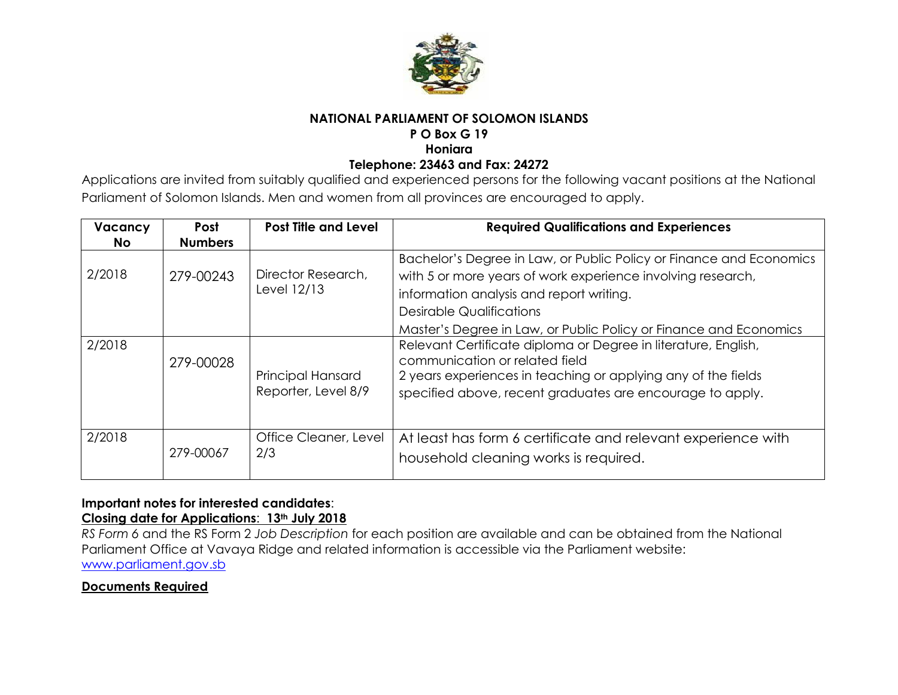

### **NATIONAL PARLIAMENT OF SOLOMON ISLANDS**

### **P O Box G 19**

**Honiara**

#### **Telephone: 23463 and Fax: 24272**

Applications are invited from suitably qualified and experienced persons for the following vacant positions at the National Parliament of Solomon Islands. Men and women from all provinces are encouraged to apply.

| Vacancy | <b>Post</b>    | <b>Post Title and Level</b>       | <b>Required Qualifications and Experiences</b>                      |
|---------|----------------|-----------------------------------|---------------------------------------------------------------------|
| No.     | <b>Numbers</b> |                                   |                                                                     |
| 2/2018  | 279-00243      | Director Research,<br>Level 12/13 | Bachelor's Degree in Law, or Public Policy or Finance and Economics |
|         |                |                                   | with 5 or more years of work experience involving research,         |
|         |                |                                   | information analysis and report writing.                            |
|         |                |                                   | <b>Desirable Qualifications</b>                                     |
|         |                |                                   | Master's Degree in Law, or Public Policy or Finance and Economics   |
| 2/2018  |                |                                   | Relevant Certificate diploma or Degree in literature, English,      |
|         | 279-00028      |                                   | communication or related field                                      |
|         |                | <b>Principal Hansard</b>          | 2 years experiences in teaching or applying any of the fields       |
|         |                | Reporter, Level 8/9               | specified above, recent graduates are encourage to apply.           |
|         |                |                                   |                                                                     |
|         |                |                                   |                                                                     |
| 2/2018  | 279-00067      | Office Cleaner, Level<br>2/3      | At least has form 6 certificate and relevant experience with        |
|         |                |                                   | household cleaning works is required.                               |
|         |                |                                   |                                                                     |

#### **Important notes for interested candidates**: **Closing date for Applications**: **13th July 2018**

*RS Form 6* and the RS Form 2 *Job Description* for each position are available and can be obtained from the National Parliament Office at Vavaya Ridge and related information is accessible via the Parliament website: [www.parliament.gov.sb](http://www.parliament.gov.sb/)

# **Documents Required**